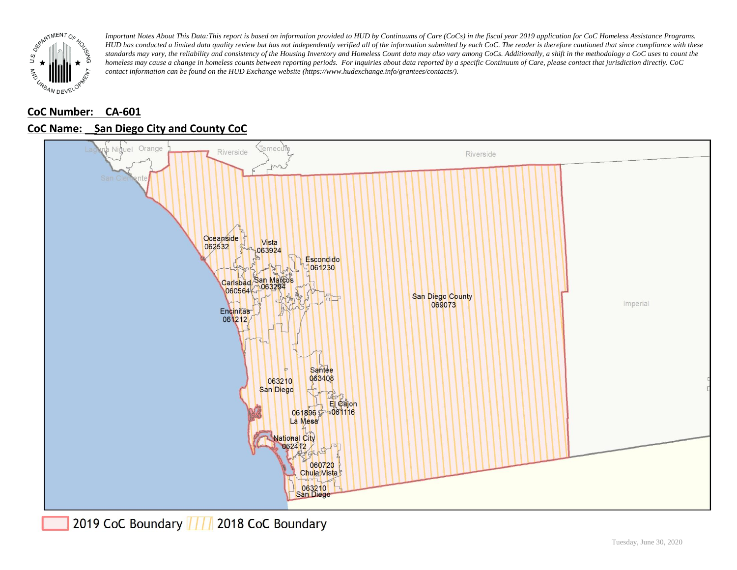

# **CoC Number: CA-601**



# **CoC Name: \_\_ San Diego City and County CoC**

2019 CoC Boundary | | | 2018 CoC Boundary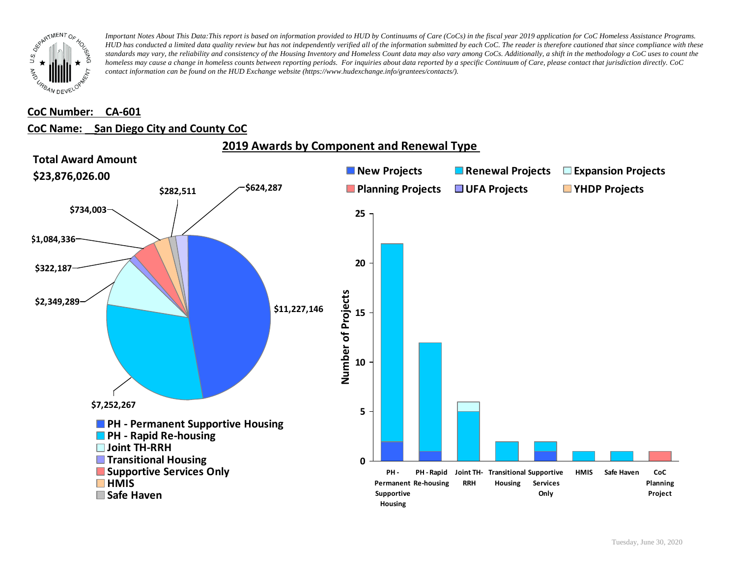

#### **CoC Number: CA-601**

#### **CoC Name: \_\_ San Diego City and County CoC**



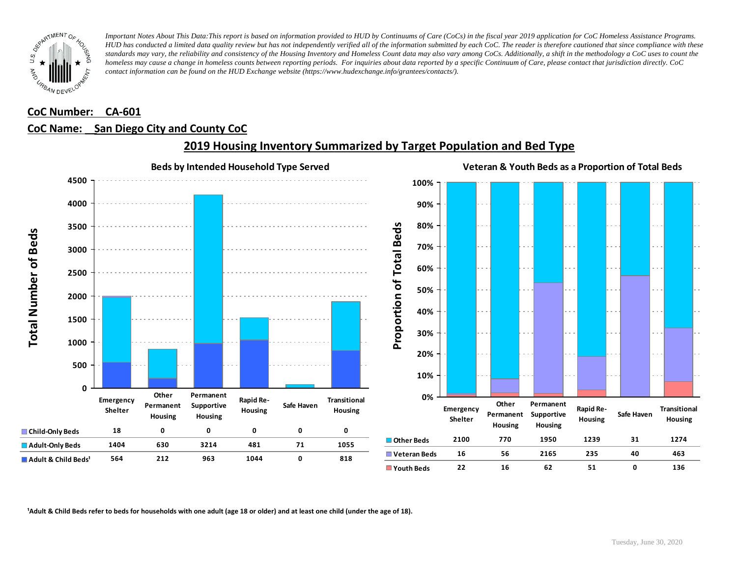

#### **CoC Number: CA-601**

#### **CoC Name: \_\_ San Diego City and County CoC**



**2019 Housing Inventory Summarized by Target Population and Bed Type**

<sup>1</sup> Adult & Child Beds refer to beds for households with one adult (age 18 or older) and at least one child (under the age of 18).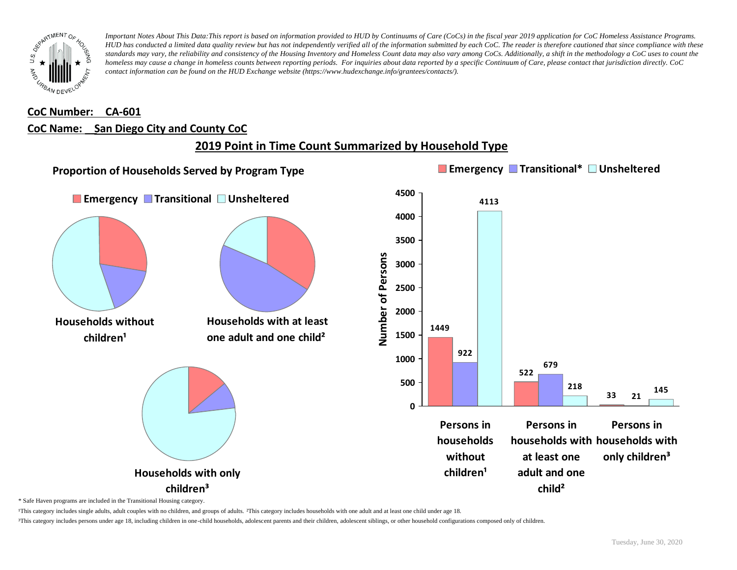

## **CoC Number: CA-601 CoC Name: \_\_ San Diego City and County CoC**

# **2019 Point in Time Count Summarized by Household Type**



\* Safe Haven programs are included in the Transitional Housing category.

¹This category includes single adults, adult couples with no children, and groups of adults. ²This category includes households with one adult and at least one child under age 18.

³This category includes persons under age 18, including children in one-child households, adolescent parents and their children, adolescent siblings, or other household configurations composed only of children.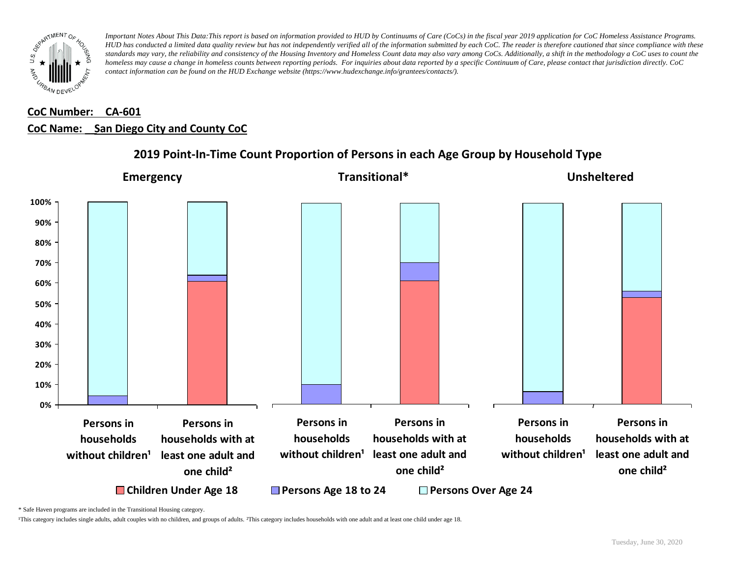

## **CoC Number: CA-601 CoC Name: \_\_ San Diego City and County CoC**



#### **2019 Point-In-Time Count Proportion of Persons in each Age Group by Household Type**

\* Safe Haven programs are included in the Transitional Housing category.

¹This category includes single adults, adult couples with no children, and groups of adults. ²This category includes households with one adult and at least one child under age 18.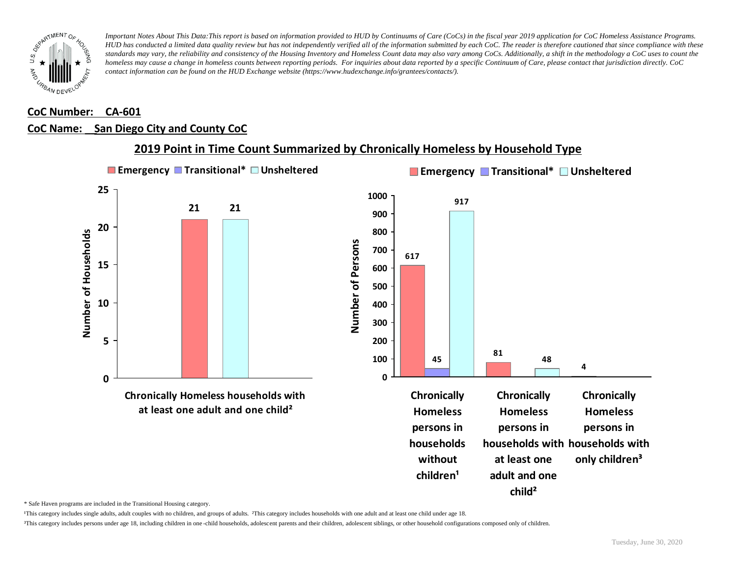

# **CoC Number: CA-601**

# **CoC Name: \_\_ San Diego City and County CoC**



### **2019 Point in Time Count Summarized by Chronically Homeless by Household Type**

\* Safe Haven programs are included in the Transitional Housing category.

¹This category includes single adults, adult couples with no children, and groups of adults. ²This category includes households with one adult and at least one child under age 18.

³This category includes persons under age 18, including children in one -child households, adolescent parents and their children, adolescent siblings, or other household configurations composed only of children.